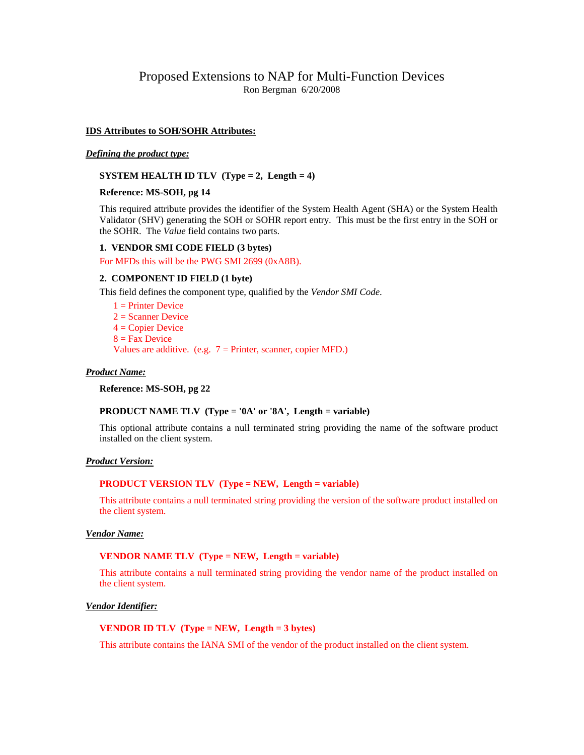# Proposed Extensions to NAP for Multi-Function Devices Ron Bergman 6/20/2008

### **IDS Attributes to SOH/SOHR Attributes:**

#### *Defining the product type:*

### **SYSTEM HEALTH ID TLV (Type = 2, Length = 4)**

# **Reference: MS-SOH, pg 14**

This required attribute provides the identifier of the System Health Agent (SHA) or the System Health Validator (SHV) generating the SOH or SOHR report entry. This must be the first entry in the SOH or the SOHR. The *Value* field contains two parts.

# **1. VENDOR SMI CODE FIELD (3 bytes)**

For MFDs this will be the PWG SMI 2699 (0xA8B).

### **2. COMPONENT ID FIELD (1 byte)**

This field defines the component type, qualified by the *Vendor SMI Code*.

 $1 =$ Printer Device  $2 =$ Scanner Device  $4 =$  Copier Device  $8 =$  Fax Device Values are additive. (e.g.  $7 =$  Printer, scanner, copier MFD.)

#### *Product Name:*

**Reference: MS-SOH, pg 22**

# **PRODUCT NAME TLV (Type = '0A' or '8A', Length = variable)**

This optional attribute contains a null terminated string providing the name of the software product installed on the client system.

#### *Product Version:*

# **PRODUCT VERSION TLV (Type = NEW, Length = variable)**

This attribute contains a null terminated string providing the version of the software product installed on the client system.

# *Vendor Name:*

# **VENDOR NAME TLV (Type = NEW, Length = variable)**

This attribute contains a null terminated string providing the vendor name of the product installed on the client system.

### *Vendor Identifier:*

# **VENDOR ID TLV (Type = NEW, Length = 3 bytes)**

This attribute contains the IANA SMI of the vendor of the product installed on the client system.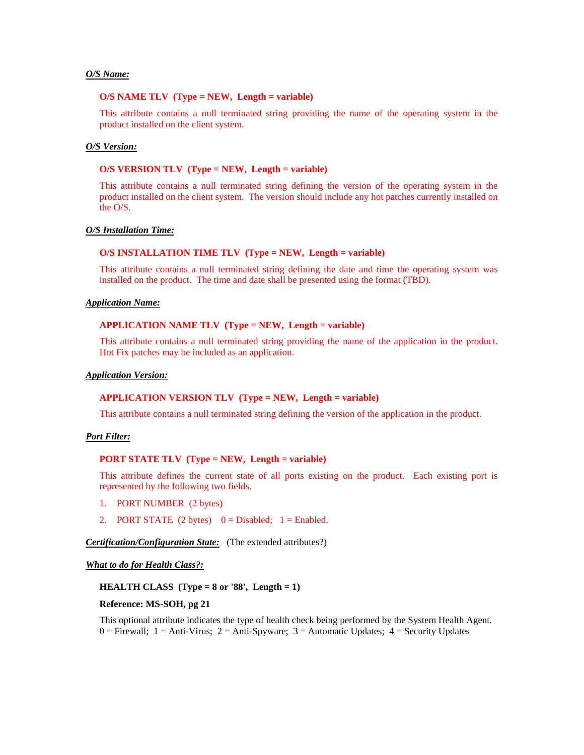# *O/S Name:*

#### **O/S NAME TLV (Type = NEW, Length = variable)**

This attribute contains a null terminated string providing the name of the operating system in the product installed on the client system.

### *O/S Version:*

### **O/S VERSION TLV (Type = NEW, Length = variable)**

This attribute contains a null terminated string defining the version of the operating system in the product installed on the client system. The version should include any hot patches currently installed on the O/S.

# *O/S Installation Time:*

### **O/S INSTALLATION TIME TLV (Type = NEW, Length = variable)**

This attribute contains a null terminated string defining the date and time the operating system was installed on the product. The time and date shall be presented using the format (TBD).

#### *Application Name:*

# **APPLICATION NAME TLV (Type = NEW, Length = variable)**

This attribute contains a null terminated string providing the name of the application in the product. Hot Fix patches may be included as an application.

# *Application Version:*

#### **APPLICATION VERSION TLV (Type = NEW, Length = variable)**

This attribute contains a null terminated string defining the version of the application in the product.

#### *Port Filter:*

#### **PORT STATE TLV (Type = NEW, Length = variable)**

This attribute defines the current state of all ports existing on the product. Each existing port is represented by the following two fields.

- 1. PORT NUMBER (2 bytes)
- 2. PORT STATE  $(2 \text{ bytes})$   $0 = \text{Disabled}; 1 = \text{Enabled}.$

*Certification/Configuration State:* (The extended attributes?)

#### *What to do for Health Class?:*

# **HEALTH CLASS (Type = 8 or '88', Length = 1)**

#### **Reference: MS-SOH, pg 21**

This optional attribute indicates the type of health check being performed by the System Health Agent.  $0 =$  Firewall;  $1 =$  Anti-Virus;  $2 =$  Anti-Spyware;  $3 =$  Automatic Updates;  $4 =$  Security Updates